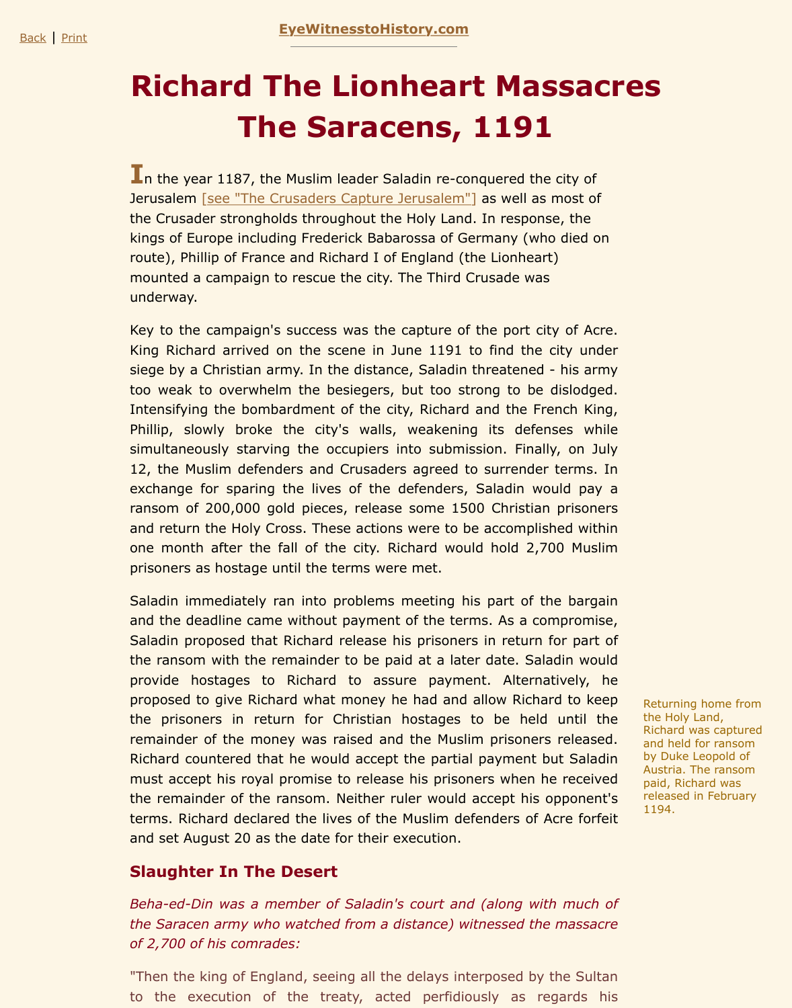## **The Same Saracens, 1191**

In the year 1187, th[e Muslim leader Saladin re-co](http://www.eyewitnesstohistory.com/index.html)nquered the city of Jerusalem [see "The Crusaders Capture Jerusalem"] as well as most of the Crusader strongholds throughout the Holy Land. In response, the kings of Europe including Frederick Babarossa of Germany (who died on route), Phillip of France and Richard I of England (the Lionheart) mounted a campaign to rescue the city. The Third Crusade was underway.

Key to the [campaign's success was the capture of t](http://www.eyewitnesstohistory.com/crusades.htm)he port city of Acre. King Richard arrived on the scene in June 1191 to find the city under siege by a Christian army. In the distance, Saladin threatened - his army too weak to overwhelm the besiegers, but too strong to be dislodged. Intensifying the bombardment of the city, Richard and the French King, Phillip, slowly broke the city's walls, weakening its defenses while simultaneously starving the occupiers into submission. Finally, on July 12, the Muslim defenders and Crusaders agreed to surrender terms. In exchange for sparing the lives of the defenders, Saladin would pay a ransom of 200,000 gold pieces, release some 1500 Christian prisoners and return the Holy Cross. These actions were to be accomplished within one month after the fall of the city. Richard would hold 2,700 Muslim prisoners as hostage until the terms were met.

Saladin immediately ran into problems meeting his part of the bargain and the deadline came without payment of the terms. As a compromise, Saladin proposed that Richard release his prisoners in return for part of the ransom with the remainder to be paid at a later date. Saladin would provide hostages to Richard to assure payment. Alternatively, he proposed to give Richard what money he had and allow Richard to keep the prisoners in return for Christian hostages to be held until the remainder of the money was raised and the Muslim prisoners released. Richard countered that he would accept the partial payment but Saladin must accept his royal promise to release his prisoners when he received the remainder of the ransom. Neither ruler would accept his opponent's terms. Richard declared the lives of the Muslim defenders of Acre forfeit and set August 20 as the date for their execution.

## **Slaughter In The Desert**

*Beha-ed-Din was a member of Saladin's court and (along with much of the Saracen army who watched from a distance) witnessed the massacre of 2,700 of his comrades:*

"Then the king of England, seeing all the delays interposed by the Sultan to the execution of the treaty, acted perfidiously as regards his

Retur the H Richa and h by Du Austr paid, releas 1194.